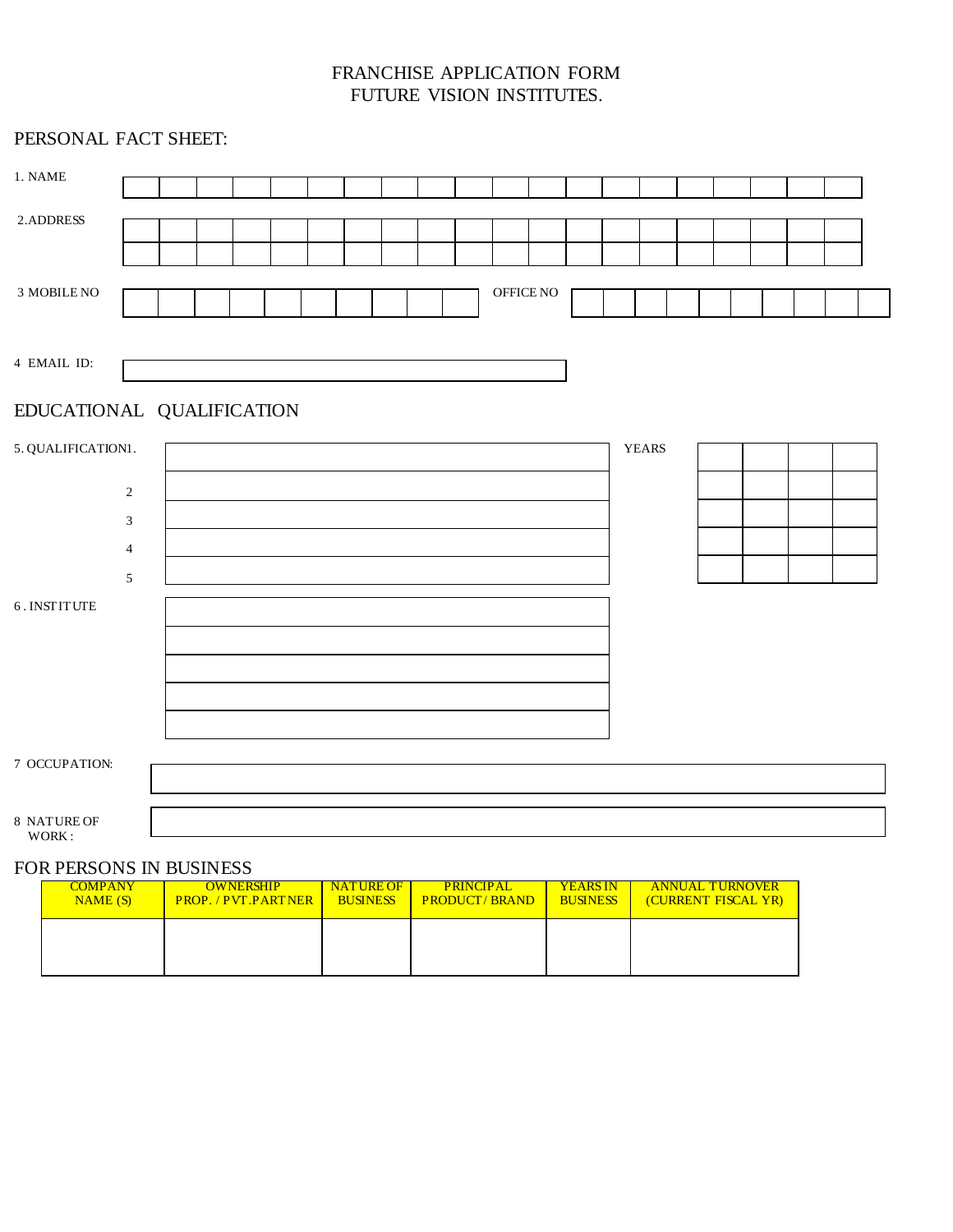# FRANCHISE APPLICATION FORM FUTURE VISION INSTITUTES.

| PERSONAL FACT SHEET: |                                  |  |  |  |  |  |  |  |  |  |           |  |              |  |  |  |
|----------------------|----------------------------------|--|--|--|--|--|--|--|--|--|-----------|--|--------------|--|--|--|
| 1. NAME              |                                  |  |  |  |  |  |  |  |  |  |           |  |              |  |  |  |
| 2.ADDRESS            |                                  |  |  |  |  |  |  |  |  |  |           |  |              |  |  |  |
|                      |                                  |  |  |  |  |  |  |  |  |  |           |  |              |  |  |  |
| 3 MOBILE NO          |                                  |  |  |  |  |  |  |  |  |  | OFFICE NO |  |              |  |  |  |
| 4 EMAIL ID:          |                                  |  |  |  |  |  |  |  |  |  |           |  |              |  |  |  |
|                      | EDUCATIONAL QUALIFICATION        |  |  |  |  |  |  |  |  |  |           |  |              |  |  |  |
| 5. QUALIFICATION1.   |                                  |  |  |  |  |  |  |  |  |  |           |  | <b>YEARS</b> |  |  |  |
|                      | $\sqrt{2}$                       |  |  |  |  |  |  |  |  |  |           |  |              |  |  |  |
|                      | $\mathfrak{Z}$                   |  |  |  |  |  |  |  |  |  |           |  |              |  |  |  |
|                      | $\overline{4}$<br>$\mathfrak{S}$ |  |  |  |  |  |  |  |  |  |           |  |              |  |  |  |
| 6. INSTITUTE         |                                  |  |  |  |  |  |  |  |  |  |           |  |              |  |  |  |
|                      |                                  |  |  |  |  |  |  |  |  |  |           |  |              |  |  |  |
|                      |                                  |  |  |  |  |  |  |  |  |  |           |  |              |  |  |  |
|                      |                                  |  |  |  |  |  |  |  |  |  |           |  |              |  |  |  |
| 7 OCCUPATION:        |                                  |  |  |  |  |  |  |  |  |  |           |  |              |  |  |  |
|                      |                                  |  |  |  |  |  |  |  |  |  |           |  |              |  |  |  |
| 8 NATURE OF<br>WORK: |                                  |  |  |  |  |  |  |  |  |  |           |  |              |  |  |  |

### FOR PERSONS IN BUSINESS

| <b>COMPANY</b> | <b>OWNERSHIP</b>           | <b>NATURE OF</b> | <b>PRINCIPAL</b>     | <b>YEARS IN</b> | <b>ANNUAL TURNOVER</b> |
|----------------|----------------------------|------------------|----------------------|-----------------|------------------------|
| NAME(S)        | <b>PROP. / PVT.PARTNER</b> | <b>BUSINESS</b>  | <b>PRODUCT/BRAND</b> | <b>BUSINESS</b> | (CURRENT FISCAL YR)    |
|                |                            |                  |                      |                 |                        |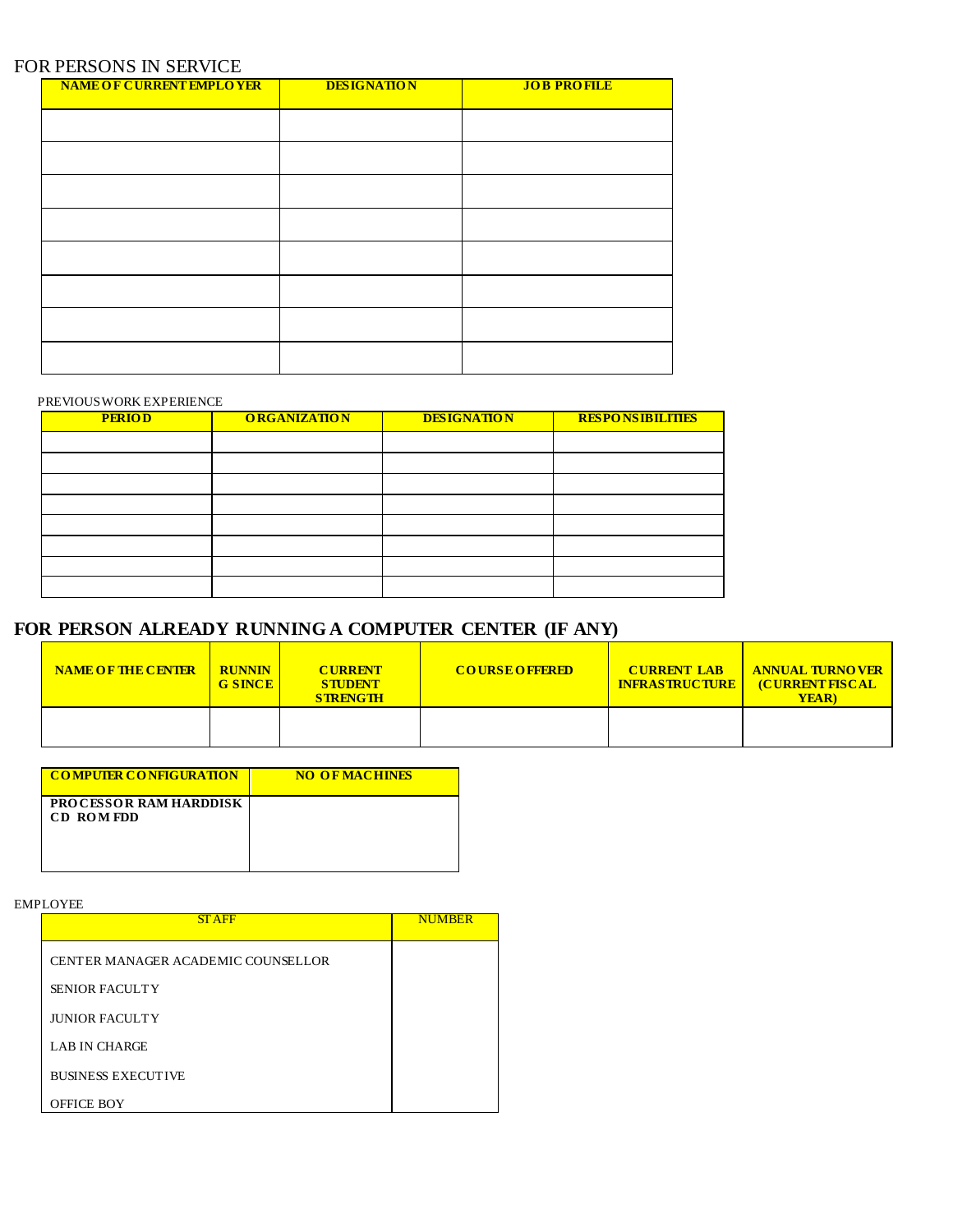### FOR PERSONS IN SERVICE

| <b>NAME OF CURRENT EMPLOYER</b> | <b>DESIGNATION</b> | <b>JOB PROFILE</b> |
|---------------------------------|--------------------|--------------------|
|                                 |                    |                    |
|                                 |                    |                    |
|                                 |                    |                    |
|                                 |                    |                    |
|                                 |                    |                    |
|                                 |                    |                    |
|                                 |                    |                    |
|                                 |                    |                    |
|                                 |                    |                    |

#### PREVIOUS WORK EXPERIENCE

| <b>PERIOD</b> | <b>ORGANIZATION</b> | <b>DESIGNATION</b> | <b>RESPONSIBILITIES</b> |
|---------------|---------------------|--------------------|-------------------------|
|               |                     |                    |                         |
|               |                     |                    |                         |
|               |                     |                    |                         |
|               |                     |                    |                         |
|               |                     |                    |                         |
|               |                     |                    |                         |
|               |                     |                    |                         |
|               |                     |                    |                         |

# **FOR PERSON ALREADY RUNNING A COMPUTER CENTER (IF ANY)**

| <b>NAME OF THE CENTER</b> | <b>RUNNIN</b><br><b>G SINCE</b> | <b>CURRENT</b><br><b>STUDENT</b><br><b>STRENGTH</b> | <b>COURSE OFFERED</b> | <b>CURRENT LAB</b><br><b>INFRASTRUCTURE</b> | <b>ANNUAL TURNOVER</b><br><b>CURRENT FISCAL</b><br><b>YEAR</b> ) |
|---------------------------|---------------------------------|-----------------------------------------------------|-----------------------|---------------------------------------------|------------------------------------------------------------------|
|                           |                                 |                                                     |                       |                                             |                                                                  |

| <b>COMPUTER CONFIGURATION</b>                     | <b>NO OF MACHINES</b> |
|---------------------------------------------------|-----------------------|
| <b>PROCESSOR RAM HARDDISK</b><br><b>CD ROMEDD</b> |                       |

EMPLOYEE

| <b>STAFF</b>                       | <b>NUMBER</b> |
|------------------------------------|---------------|
| CENTER MANAGER ACADEMIC COUNSELLOR |               |
| <b>SENIOR FACULTY</b>              |               |
| <b>JUNIOR FACULTY</b>              |               |
| <b>LAB IN CHARGE</b>               |               |
| <b>BUSINESS EXECUTIVE</b>          |               |
| <b>OFFICE BOY</b>                  |               |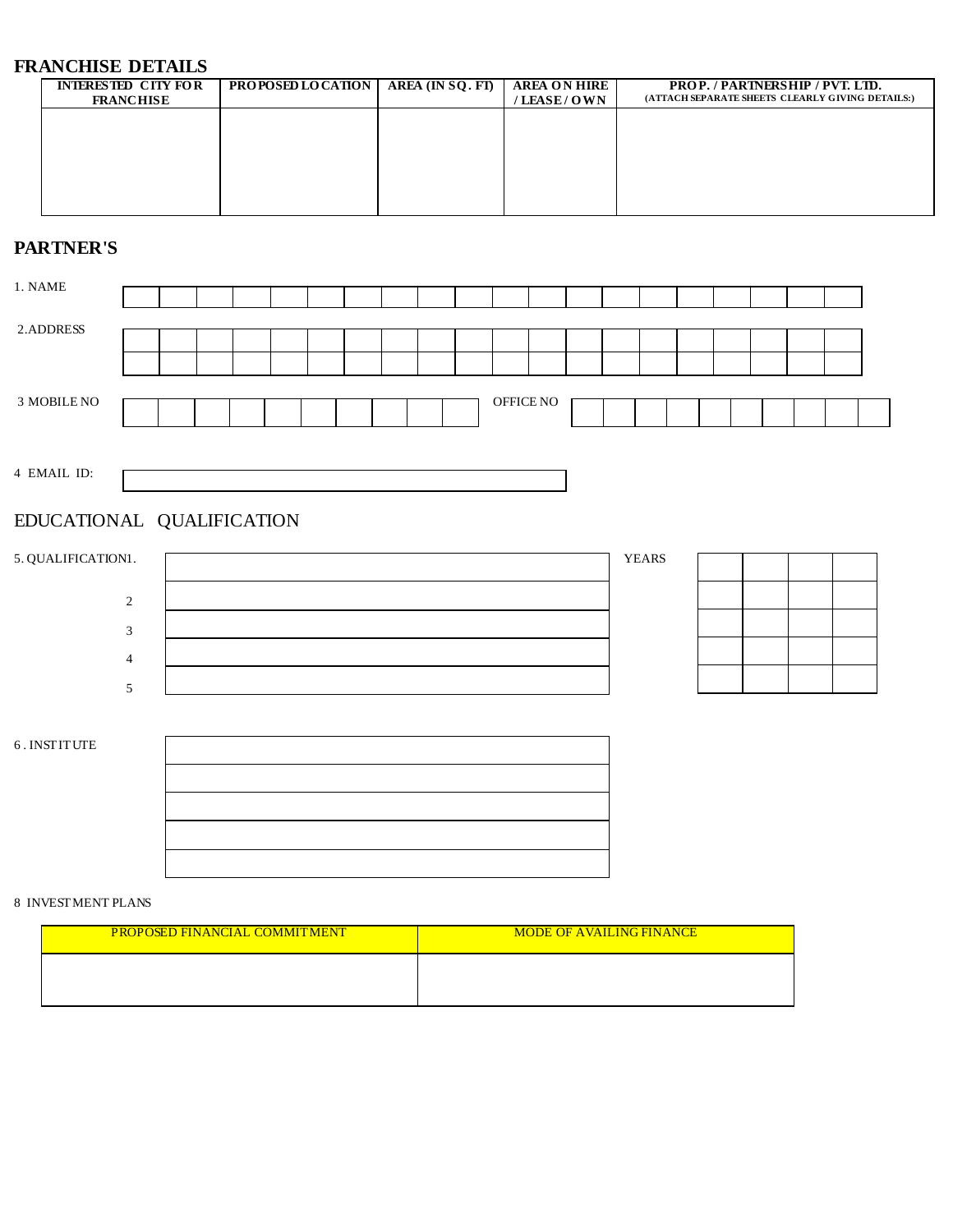# **FRANCHISE DETAILS**

| <b>INTERESTED CITY FOR</b> | <b>PROPOSED LOCATION</b>   AREA (IN SQ. FT) | <b>AREA ON HIRE</b> | <b>PROP. / PARTNERSHIP / PVT. LTD.</b>           |
|----------------------------|---------------------------------------------|---------------------|--------------------------------------------------|
| <b>FRANCHISE</b>           |                                             | / LEASE / O WN      | (ATTACH SEPARATE SHEETS CLEARLY GIVING DETAILS:) |
|                            |                                             |                     |                                                  |
|                            |                                             |                     |                                                  |
|                            |                                             |                     |                                                  |
|                            |                                             |                     |                                                  |
|                            |                                             |                     |                                                  |
|                            |                                             |                     |                                                  |
|                            |                                             |                     |                                                  |
|                            |                                             |                     |                                                  |
|                            |                                             |                     |                                                  |

## **PARTNER'S**

| 1. NAME     |  |  |  |  |  |           |  |  |  |  |  |
|-------------|--|--|--|--|--|-----------|--|--|--|--|--|
|             |  |  |  |  |  |           |  |  |  |  |  |
|             |  |  |  |  |  |           |  |  |  |  |  |
|             |  |  |  |  |  |           |  |  |  |  |  |
| 2.ADDRESS   |  |  |  |  |  |           |  |  |  |  |  |
|             |  |  |  |  |  |           |  |  |  |  |  |
|             |  |  |  |  |  |           |  |  |  |  |  |
|             |  |  |  |  |  |           |  |  |  |  |  |
|             |  |  |  |  |  |           |  |  |  |  |  |
| 3 MOBILE NO |  |  |  |  |  | OFFICE NO |  |  |  |  |  |
|             |  |  |  |  |  |           |  |  |  |  |  |
|             |  |  |  |  |  |           |  |  |  |  |  |
|             |  |  |  |  |  |           |  |  |  |  |  |

4 EMAIL ID:

### EDUCATIONAL QUALIFICATION



6 . INSTITUTE



#### 8 INVESTMENT PLANS

| <b>PROPOSED FINANCIAL COMMITMENT</b> | <b>MODE OF AVAILING FINANCE</b> |
|--------------------------------------|---------------------------------|
|                                      |                                 |
|                                      |                                 |